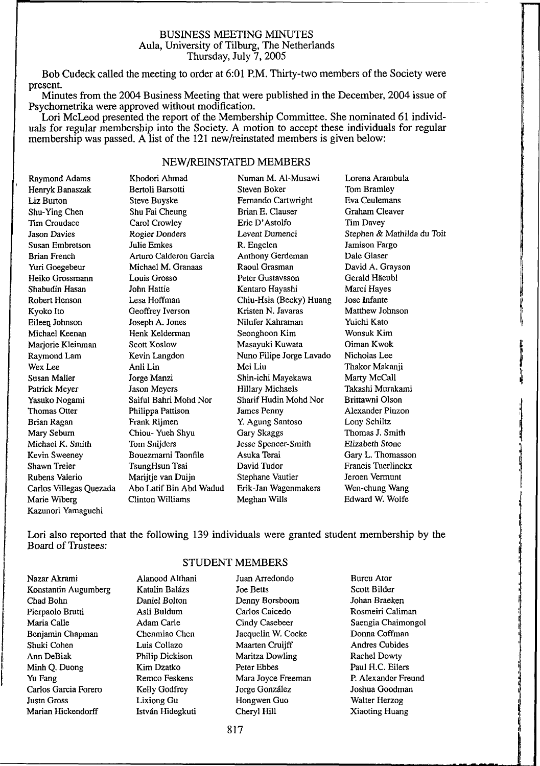## BUSINESS MEETING MINUTES Aula, University of Tilburg, The Netherlands Thursday, July 7,2005

Bob Cudeck called the meeting to order at 6:01 P.M. Thirty-two members of the Society were present.

Minutes from the 2004 Business Meeting that were published in the December, 2004 issue of Psychometrika were approved without modification.

Lori McLeod presented the report of the Membership Committee. She nominated 61 individuals for regular membership into the Society. A motion to accept these individuals for regular membership was passed. A list of the 121 new/reinstated members is given below:

# NEW/REINSTATED MEMBERS

Raymond Adams Henryk Banaszak Liz Burton Shu-Ying Chen Tim Croudace Jason Davies Susan Embretson Brian French Yuri Goegebeur Heiko Grossmann Shabudin Hasan Robert Henson Kyoto Ito Eileen. Johnson Michael Keenan Marjorie Kleinman Raymond Lam Wex Lee Susan Mailer Patrick Meyer Yasuko Nogami Thomas Otter Brian Ragan Mary Seburn Michael K. Smith Kevin Sweeney Shawn Treier Rubens Valerio Carlos Villegas Quezada Marie Wiberg Kazunori Yamaguchi

Khodori Ahmad Bertoli Barsotti Steve Buyske Shu Fai Cheung Carol Crowley Rogier Donders Julie Emkes Arturo Calderon Garcia Michael M. Granaas Louis Grosso John Hattie Lesa Hoffman Geoffrey Iverson Joseph A. Jones Henk Kelderman Scott Koslow Kevin Langdon Anli Lin Jorge Manzi Jason Meyers Saiful Bahri Mohd Nor Philippa Pattison Frank Rijmen Chiou- Yueh Shyu Tom Snijders Bouezmarni Taonfile TsungHsun Tsai Marijtje van Duijn Abo Latif Bin Abd Wadud Clinton Williams

Steven Boker Fernando Cartwright Brian E. Clauser Eric D'Astolfo Levent Dumenci R. Engelen Anthony Gerdeman Raoul Grasman Peter Gustavsson Kentaro Hayashi Chiu-Hsia (Becky) Huang Kristen N. Javaras Nilufer Kahraman Seonghoon Kim Masayuki Kuwata Nuno Filipe Jorge Lavado Mei Liu Shin-ichi Mayekawa Hillary Michaels Sharif Hudin Mohd Nor James Penny Y. Agung Santoso Gary Skaggs Jesse Spencer-Smith Asuka Terai David Tudor Stephane Vautier Erik-Jan Wagenmakers Meghan Wills

Numan M. Al-Musawi

Lorena Arambula Tom Bramley Eva Ceulemans Graham Cleaver Tim Davey Stephen & Mathilda du Toit Jamison Fargo Dale Glaser David A. Grayson Gerald Haeubl Marci Hayes Jose Infante Matthew Johnson Yuichi Kato Wonsuk Kim Oiman Kwok Nicholas Lee Thakor Makanji Marty McCall Takashi Murakami Brittawni Olson Alexander Pinzon Lony Schiltz Thomas J. Smith Elizabeth Stone Gary L. Thomasson Francis Tuerlinckx Jeroen Vermunt Wen-chung Wang Edward W. Wolfe

Lori also reported that the following 139 individuals were granted student membership by the Board of Trustees:

## Nazar Akrami Konstantin Augumberg Chad Bohn Pierpaolo Brutti Maria Calle Benjamin Chapman Shuki Cohen Ann DeBiak Minh Q. Duong Yu Fang Carlos Garcia Forero Justn Gross Marian Hickendorff

### STUDENT MEMBERS

Alanood Althani Katalin Balázs Daniel Bolton Asli Buldum Adam Carle Chenmiao Chen Luis Collazo Philip Dickison Kim Dzatko Remco Feskens Kelly Godfrey Lixiong Gu István Hidegkuti

Joe Betts Denny Borsboom Carlos Caicedo Cindy Casebeer Jacquelin W. Cocke Maarten Cruijff Maritza Dowling Peter Ebbes Mara Joyce Freeman Jorge González Hongwen Guo Cheryl Hill

Juan Arredondo

Burcu Ator Scott Bilder Johan Braeken Rosmeiri Caliman Saengia Chaimongol Donna Coffman Andres Cubides Rachel Dowty Paul H.C. Eilers P. Alexander Freund Joshua Goodman Walter Herzog Xiaoting Huang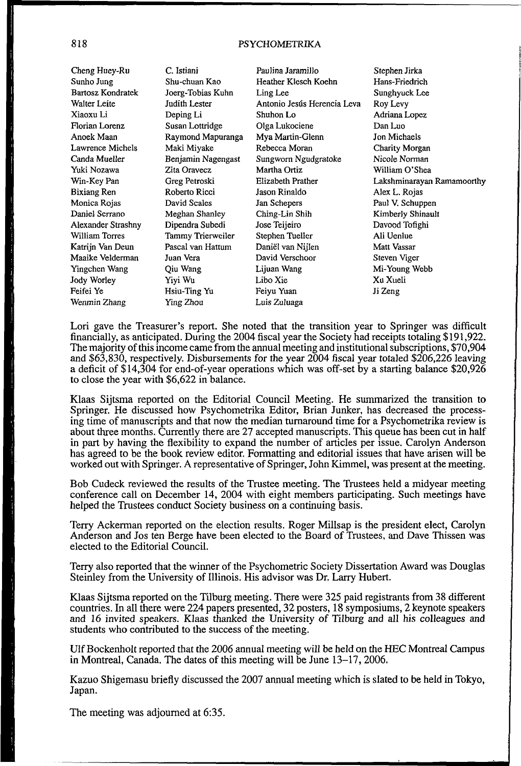# 818 PSYCHOMETRIKA

Cheng Huey-Ru Sunho Jung Bartosz Kondratek Walter Leite Xiaoxu Li Florian Lorenz Anoek Maan Lawrence Michels Canda Mueller Yuki Nozawa Win-Key Pan Bixiang Ren Monica Rojas Daniel Serrano Alexander Strashny William Torres Katrijn Van Deun Maaike Velderman Yingchen Wang Jody Worley Feifei Ye Wenmin Zhang

C. Istiani Shu-chuan Kao Joerg-Tobias Kuhn Judith Lester Deping Li Susan Lottridge Raymond Mapuranga Maki Miyake Benjamin Nagengast Zita Oravecz Greg Petroski Roberto Ricci David Scales Meghan Shanley Dipendra Subedi Tammy Trierweiler Pascal van Hattum Juan Vera Qiu Wang Yiyi Wu Hsiu-Ting Yu Ying Zhou

Paulina Jaramillo Heather Klesch Koehn Ling Lee Antonio Jesús Herencia Leva Shuhon Lo Olga Lukociene Mya Martin-Glenn Rebecca Moran Sungworn Ngudgratoke Martha Ortiz Elizabeth Prather Jason Rinaldo Jan Schepers Ching-Lin Shih Jose Teijeiro Stephen Tueller Daniel van Nijlen David Verschoor Lijuan Wang Libo Xie Feiyu Yuan Luis Zuluaga

Stephen Jirka Hans-Friedrich Sunghyuck Lee Roy Levy Adriana Lopez Dan Luo Jon Michaels Charity Morgan Nicole Norman William O'Shea Lakshminarayan Ramamoorthy Alex L. Rojas Paul V. Schuppen Kimberly Shinault Davood Tofighi Ali Uenlue Matt Vassar Steven Viger Mi-Young Webb Xu Xueli Ji Zeng

Lori gave the Treasurer's report. She noted that the transition year to Springer was difficult financially, as anticipated. During the 2004 fiscal year the Society had receipts totaling \$191,922. The majority of this income came from the annual meeting and institutional subscriptions, \$70,904 and \$63,830, respectively. Disbursements for the year 2004 fiscal year totaled \$206,226 leaving a deficit of \$14,304 for end-of-year operations which was off-set by a starting balance \$20,926 to close the year with \$6,622 in balance.

Klaas Sijtsma reported on the Editorial Council Meeting. He summarized the transition to Springer. He discussed how Psychometrika Editor, Brian Junker, has decreased the processing time of manuscripts and that now the median turnaround time for a Psychometrika review is about three months. Currently there are 27 accepted manuscripts. This queue has been cut in half in part by having the flexibility to expand the number of articles per issue. Carolyn Anderson has agreed to be the book review editor. Formatting and editorial issues that have arisen will be worked out with Springer. A representative of Springer, John Kimmel, was present at the meeting.

Bob Cudeck reviewed the results of the Trustee meeting. The Trustees held a midyear meeting conference call on December 14, 2004 with eight members participating. Such meetings have helped the Trustees conduct Society business on a continuing basis.

Terry Ackerman reported on the election results. Roger Millsap is the president elect, Carolyn Anderson and Jos ten Berge have been elected to the Board of Trustees, and Dave Thissen was elected to the Editorial Council.

Terry also reported that the winner of the Psychometric Society Dissertation Award was Douglas Steinley from the University of Illinois. His advisor was Dr. Larry Hubert.

Klaas Sijtsma reported on the Tilburg meeting. There were 325 paid registrants from 38 different countries. In all there were 224 papers presented, 32 posters, 18 symposiums, 2 keynote speakers and 16 invited speakers. Klaas thanked the University of Tilburg and all his colleagues and students who contributed to the success of the meeting.

Ulf Bockenholt reported that the 2006 annual meeting will be held on the HEC Montreal Campus in Montreal, Canada. The dates of this meeting will be June 13-17, 2006.

Kazuo Shigemasu briefly discussed the 2007 annual meeting which is slated to be held in Tokyo, Japan.

The meeting was adjourned at 6:35.